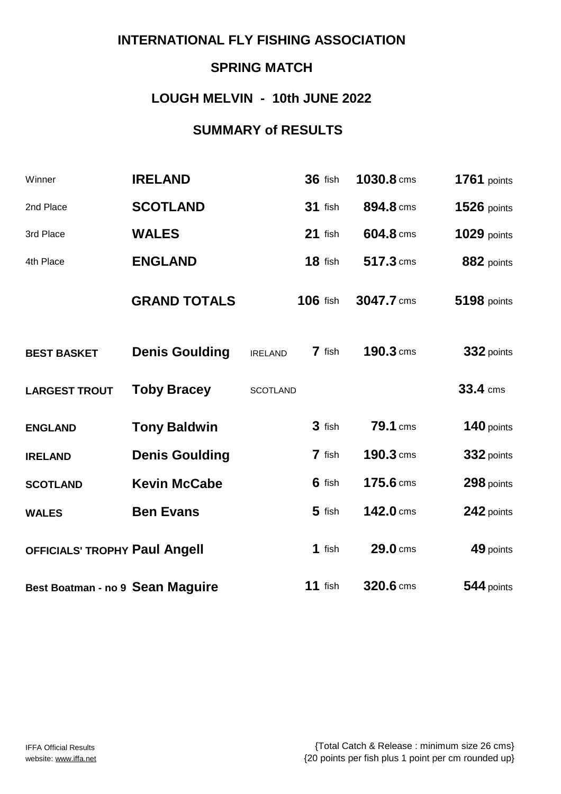# **SPRING MATCH**

### **LOUGH MELVIN - 10th JUNE 2022**

### **SUMMARY of RESULTS**

| Winner                                  | <b>IRELAND</b>        |                 | <b>36 fish</b>  | 1030.8 cms | <b>1761</b> points |
|-----------------------------------------|-----------------------|-----------------|-----------------|------------|--------------------|
| 2nd Place                               | <b>SCOTLAND</b>       |                 | $31$ fish       | 894.8 cms  | $1526$ points      |
| 3rd Place                               | <b>WALES</b>          |                 | $21$ fish       | 604.8 cms  | <b>1029 points</b> |
| 4th Place                               | <b>ENGLAND</b>        |                 | 18 fish         | 517.3 cms  | 882 points         |
|                                         | <b>GRAND TOTALS</b>   |                 | <b>106 fish</b> | 3047.7 cms | <b>5198 points</b> |
| <b>BEST BASKET</b>                      | <b>Denis Goulding</b> | <b>IRELAND</b>  | 7 fish          | 190.3 cms  | 332 points         |
| <b>LARGEST TROUT</b>                    | <b>Toby Bracey</b>    | <b>SCOTLAND</b> |                 |            | 33.4 cms           |
| <b>ENGLAND</b>                          | <b>Tony Baldwin</b>   |                 | 3 fish          | 79.1 cms   | 140 points         |
| <b>IRELAND</b>                          | <b>Denis Goulding</b> |                 | 7 fish          | 190.3 cms  | 332 points         |
| <b>SCOTLAND</b>                         | <b>Kevin McCabe</b>   |                 | 6 fish          | 175.6 cms  | 298 points         |
| <b>WALES</b>                            | <b>Ben Evans</b>      |                 | $5$ fish        | 142.0 cms  | 242 points         |
| OFFICIALS' TROPHY Paul Angell           |                       |                 | 1 fish          | 29.0 cms   | 49 points          |
| <b>Best Boatman - no 9 Sean Maguire</b> |                       |                 | $11$ fish       | 320.6 cms  | 544 points         |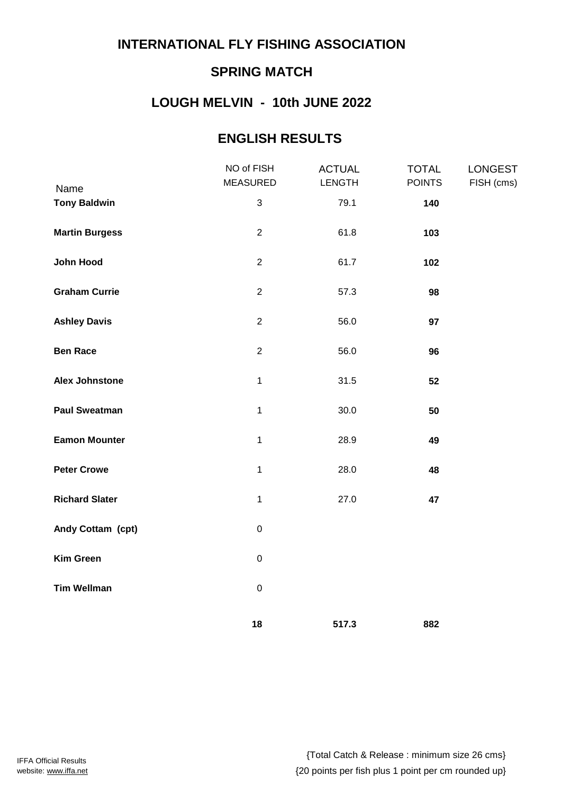# **SPRING MATCH**

## **LOUGH MELVIN - 10th JUNE 2022**

### **ENGLISH RESULTS**

|                             | NO of FISH<br><b>MEASURED</b> | <b>ACTUAL</b><br><b>LENGTH</b> | <b>TOTAL</b><br><b>POINTS</b> | <b>LONGEST</b><br>FISH (cms) |
|-----------------------------|-------------------------------|--------------------------------|-------------------------------|------------------------------|
| Name<br><b>Tony Baldwin</b> | $\mathfrak{S}$                | 79.1                           | 140                           |                              |
| <b>Martin Burgess</b>       | $\overline{2}$                | 61.8                           | 103                           |                              |
| John Hood                   | $\overline{2}$                | 61.7                           | 102                           |                              |
| <b>Graham Currie</b>        | $\overline{2}$                | 57.3                           | 98                            |                              |
| <b>Ashley Davis</b>         | $\overline{2}$                | 56.0                           | 97                            |                              |
| <b>Ben Race</b>             | $\overline{2}$                | 56.0                           | 96                            |                              |
| <b>Alex Johnstone</b>       | $\mathbf{1}$                  | 31.5                           | 52                            |                              |
| <b>Paul Sweatman</b>        | $\mathbf{1}$                  | 30.0                           | 50                            |                              |
| <b>Eamon Mounter</b>        | $\mathbf{1}$                  | 28.9                           | 49                            |                              |
| <b>Peter Crowe</b>          | $\mathbf{1}$                  | 28.0                           | 48                            |                              |
| <b>Richard Slater</b>       | $\mathbf{1}$                  | 27.0                           | 47                            |                              |
| Andy Cottam (cpt)           | $\mathbf 0$                   |                                |                               |                              |
| <b>Kim Green</b>            | $\mathbf 0$                   |                                |                               |                              |
| <b>Tim Wellman</b>          | $\pmb{0}$                     |                                |                               |                              |
|                             | 18                            | 517.3                          | 882                           |                              |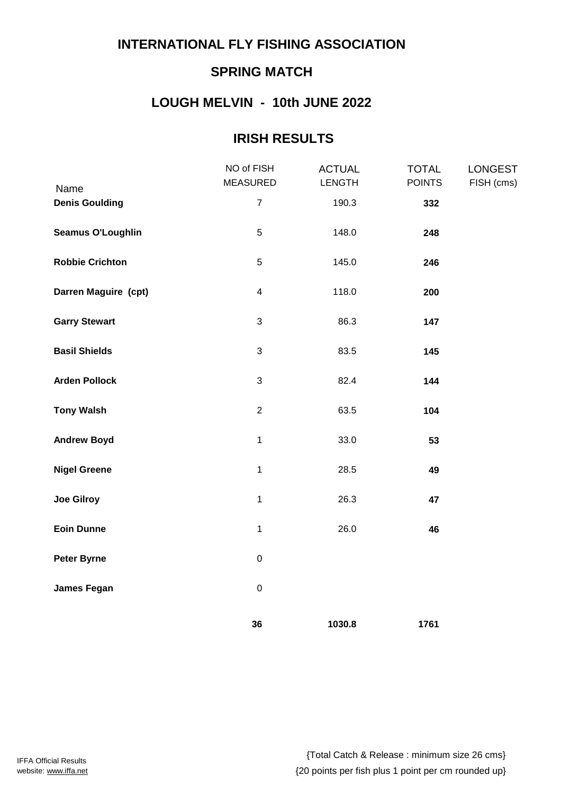# **SPRING MATCH**

## **LOUGH MELVIN - 10th JUNE 2022**

### **IRISH RESULTS**

|                          | NO of FISH<br><b>MEASURED</b> | <b>ACTUAL</b><br><b>LENGTH</b> | <b>TOTAL</b><br><b>POINTS</b> | <b>LONGEST</b><br>FISH (cms) |
|--------------------------|-------------------------------|--------------------------------|-------------------------------|------------------------------|
| Name                     |                               |                                |                               |                              |
| <b>Denis Goulding</b>    | $\overline{7}$                | 190.3                          | 332                           |                              |
| <b>Seamus O'Loughlin</b> | 5                             | 148.0                          | 248                           |                              |
| <b>Robbie Crichton</b>   | $\overline{5}$                | 145.0                          | 246                           |                              |
| Darren Maguire (cpt)     | $\overline{\mathbf{4}}$       | 118.0                          | 200                           |                              |
| <b>Garry Stewart</b>     | $\mathfrak{S}$                | 86.3                           | 147                           |                              |
| <b>Basil Shields</b>     | $\mathfrak{S}$                | 83.5                           | 145                           |                              |
| <b>Arden Pollock</b>     | $\mathfrak{S}$                | 82.4                           | 144                           |                              |
| <b>Tony Walsh</b>        | $\overline{2}$                | 63.5                           | 104                           |                              |
| <b>Andrew Boyd</b>       | 1                             | 33.0                           | 53                            |                              |
| <b>Nigel Greene</b>      | 1                             | 28.5                           | 49                            |                              |
| <b>Joe Gilroy</b>        | 1                             | 26.3                           | 47                            |                              |
| <b>Eoin Dunne</b>        | $\mathbf{1}$                  | 26.0                           | 46                            |                              |
| <b>Peter Byrne</b>       | $\pmb{0}$                     |                                |                               |                              |
| <b>James Fegan</b>       | $\pmb{0}$                     |                                |                               |                              |
|                          | 36                            | 1030.8                         | 1761                          |                              |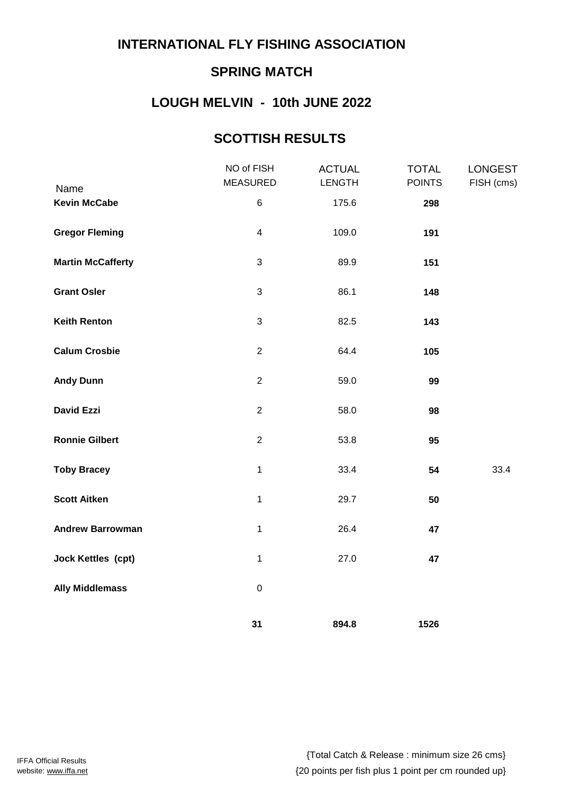# **SPRING MATCH**

# **LOUGH MELVIN - 10th JUNE 2022**

## **SCOTTISH RESULTS**

|                             | NO of FISH<br><b>MEASURED</b> | <b>ACTUAL</b><br><b>LENGTH</b> | <b>TOTAL</b><br><b>POINTS</b> | <b>LONGEST</b><br>FISH (cms) |
|-----------------------------|-------------------------------|--------------------------------|-------------------------------|------------------------------|
| Name<br><b>Kevin McCabe</b> | 6                             | 175.6                          | 298                           |                              |
| <b>Gregor Fleming</b>       | $\overline{\mathbf{4}}$       | 109.0                          | 191                           |                              |
| <b>Martin McCafferty</b>    | $\mathbf{3}$                  | 89.9                           | 151                           |                              |
| <b>Grant Osler</b>          | 3                             | 86.1                           | 148                           |                              |
| <b>Keith Renton</b>         | 3                             | 82.5                           | 143                           |                              |
| <b>Calum Crosbie</b>        | $\overline{2}$                | 64.4                           | 105                           |                              |
| <b>Andy Dunn</b>            | $\overline{2}$                | 59.0                           | 99                            |                              |
| <b>David Ezzi</b>           | $\overline{2}$                | 58.0                           | 98                            |                              |
| <b>Ronnie Gilbert</b>       | $\overline{c}$                | 53.8                           | 95                            |                              |
| <b>Toby Bracey</b>          | $\mathbf{1}$                  | 33.4                           | 54                            | 33.4                         |
| <b>Scott Aitken</b>         | $\mathbf{1}$                  | 29.7                           | 50                            |                              |
| <b>Andrew Barrowman</b>     | $\mathbf{1}$                  | 26.4                           | 47                            |                              |
| <b>Jock Kettles (cpt)</b>   | $\mathbf{1}$                  | 27.0                           | 47                            |                              |
| <b>Ally Middlemass</b>      | $\mathbf 0$                   |                                |                               |                              |
|                             | 31                            | 894.8                          | 1526                          |                              |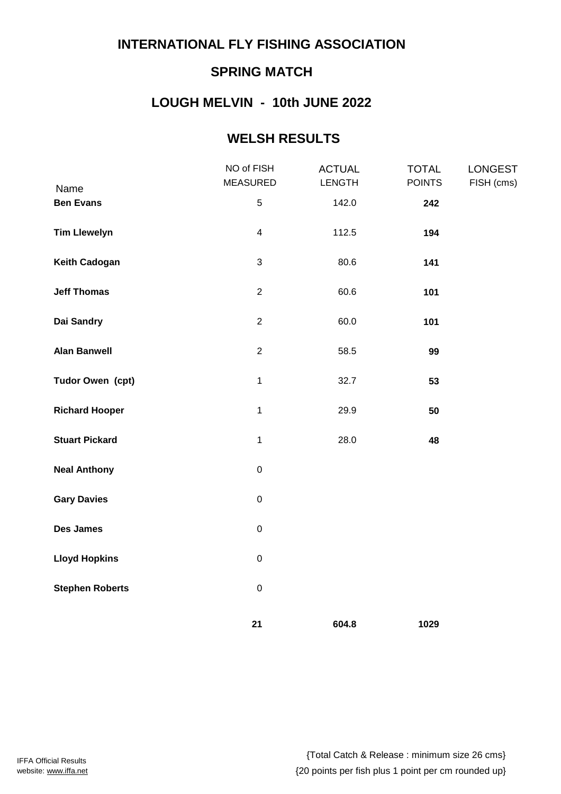# **SPRING MATCH**

# **LOUGH MELVIN - 10th JUNE 2022**

### **WELSH RESULTS**

|                          | NO of FISH<br><b>MEASURED</b> | <b>ACTUAL</b><br><b>LENGTH</b> | <b>TOTAL</b><br><b>POINTS</b> | <b>LONGEST</b><br>FISH (cms) |
|--------------------------|-------------------------------|--------------------------------|-------------------------------|------------------------------|
| Name<br><b>Ben Evans</b> | 5                             | 142.0                          | 242                           |                              |
| <b>Tim Llewelyn</b>      | $\overline{\mathbf{4}}$       | 112.5                          | 194                           |                              |
| <b>Keith Cadogan</b>     | 3                             | 80.6                           | 141                           |                              |
| <b>Jeff Thomas</b>       | $\overline{2}$                | 60.6                           | 101                           |                              |
| Dai Sandry               | $\overline{2}$                | 60.0                           | 101                           |                              |
| <b>Alan Banwell</b>      | $\overline{c}$                | 58.5                           | 99                            |                              |
| Tudor Owen (cpt)         | $\mathbf 1$                   | 32.7                           | 53                            |                              |
| <b>Richard Hooper</b>    | $\mathbf{1}$                  | 29.9                           | 50                            |                              |
| <b>Stuart Pickard</b>    | $\mathbf 1$                   | 28.0                           | 48                            |                              |
| <b>Neal Anthony</b>      | $\mathbf 0$                   |                                |                               |                              |
| <b>Gary Davies</b>       | $\mathbf 0$                   |                                |                               |                              |
| Des James                | $\mathbf 0$                   |                                |                               |                              |
| <b>Lloyd Hopkins</b>     | $\mathsf 0$                   |                                |                               |                              |
| <b>Stephen Roberts</b>   | $\mathbf 0$                   |                                |                               |                              |
|                          | 21                            | 604.8                          | 1029                          |                              |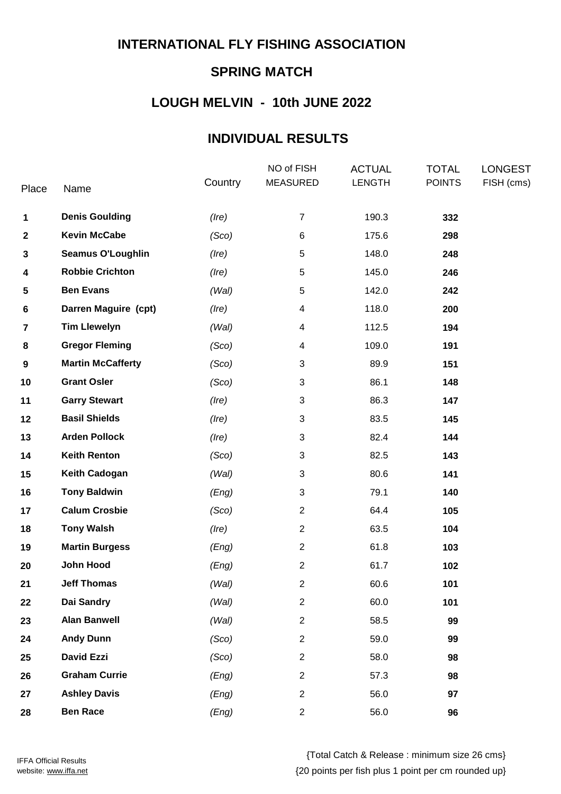# **SPRING MATCH**

## **LOUGH MELVIN - 10th JUNE 2022**

### **INDIVIDUAL RESULTS**

| Place                   | Name                     | Country     | NO of FISH<br><b>MEASURED</b> | <b>ACTUAL</b><br><b>LENGTH</b> | <b>TOTAL</b><br><b>POINTS</b> | <b>LONGEST</b><br>FISH (cms) |
|-------------------------|--------------------------|-------------|-------------------------------|--------------------------------|-------------------------------|------------------------------|
| 1                       | <b>Denis Goulding</b>    | $($ lre $)$ | $\overline{7}$                | 190.3                          | 332                           |                              |
| 2                       | <b>Kevin McCabe</b>      | (Sco)       | 6                             | 175.6                          | 298                           |                              |
| 3                       | <b>Seamus O'Loughlin</b> | $($ lre $)$ | 5                             | 148.0                          | 248                           |                              |
| 4                       | <b>Robbie Crichton</b>   | $($ lre $)$ | 5                             | 145.0                          | 246                           |                              |
| 5                       | <b>Ben Evans</b>         | (Wal)       | 5                             | 142.0                          | 242                           |                              |
| 6                       | Darren Maguire (cpt)     | $($ lre $)$ | 4                             | 118.0                          | 200                           |                              |
| $\overline{\mathbf{7}}$ | <b>Tim Llewelyn</b>      | (Wal)       | 4                             | 112.5                          | 194                           |                              |
| 8                       | <b>Gregor Fleming</b>    | (Sco)       | 4                             | 109.0                          | 191                           |                              |
| 9                       | <b>Martin McCafferty</b> | (Sco)       | 3                             | 89.9                           | 151                           |                              |
| 10                      | <b>Grant Osler</b>       | (Sco)       | 3                             | 86.1                           | 148                           |                              |
| 11                      | <b>Garry Stewart</b>     | $($ lre $)$ | 3                             | 86.3                           | 147                           |                              |
| 12                      | <b>Basil Shields</b>     | $($ lre $)$ | 3                             | 83.5                           | 145                           |                              |
| 13                      | <b>Arden Pollock</b>     | $($ lre $)$ | $\sqrt{3}$                    | 82.4                           | 144                           |                              |
| 14                      | <b>Keith Renton</b>      | (Sco)       | 3                             | 82.5                           | 143                           |                              |
| 15                      | <b>Keith Cadogan</b>     | (Wal)       | 3                             | 80.6                           | 141                           |                              |
| 16                      | <b>Tony Baldwin</b>      | (Eng)       | 3                             | 79.1                           | 140                           |                              |
| 17                      | <b>Calum Crosbie</b>     | (Sco)       | $\overline{2}$                | 64.4                           | 105                           |                              |
| 18                      | <b>Tony Walsh</b>        | $($ lre $)$ | $\overline{2}$                | 63.5                           | 104                           |                              |
| 19                      | <b>Martin Burgess</b>    | (Eng)       | $\overline{2}$                | 61.8                           | 103                           |                              |
| 20                      | John Hood                | (Eng)       | $\overline{2}$                | 61.7                           | 102                           |                              |
| 21                      | <b>Jeff Thomas</b>       | (Wal)       | $\overline{2}$                | 60.6                           | 101                           |                              |
| 22                      | Dai Sandry               | (Wal)       | $\overline{2}$                | 60.0                           | 101                           |                              |
| 23                      | <b>Alan Banwell</b>      | (Wal)       | $\overline{2}$                | 58.5                           | 99                            |                              |
| 24                      | <b>Andy Dunn</b>         | (Sco)       | $\overline{2}$                | 59.0                           | 99                            |                              |
| 25                      | <b>David Ezzi</b>        | (Sco)       | $\overline{c}$                | 58.0                           | 98                            |                              |
| 26                      | <b>Graham Currie</b>     | (Eng)       | $\overline{2}$                | 57.3                           | 98                            |                              |
| 27                      | <b>Ashley Davis</b>      | (Eng)       | $\overline{c}$                | 56.0                           | 97                            |                              |
| 28                      | <b>Ben Race</b>          | (Eng)       | $\overline{c}$                | 56.0                           | 96                            |                              |